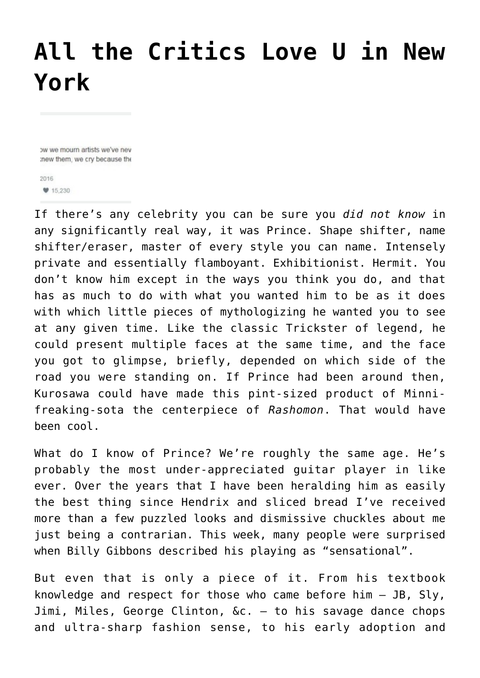## **[All the Critics Love U in New](http://www.immunetoboredom.com/all-the-critics-love-u-in-new-york/) [York](http://www.immunetoboredom.com/all-the-critics-love-u-in-new-york/)**

ow we mourn artists we've nev new them, we cry because the

2016  $9 15,230$ 

If there's any celebrity you can be sure you *did not know* in any significantly real way, it was Prince. Shape shifter, name shifter/eraser, master of every style you can name. Intensely private and essentially flamboyant. Exhibitionist. Hermit. You don't know him except in the ways you think you do, and that has as much to do with what you wanted him to be as it does with which little pieces of mythologizing he wanted you to see at any given time. Like the classic Trickster of legend, he could present multiple faces at the same time, and the face you got to glimpse, briefly, depended on which side of the road you were standing on. If Prince had been around then, Kurosawa could have made this pint-sized product of Minnifreaking-sota the centerpiece of *Rashomon*. That would have been cool.

What do I know of Prince? We're roughly the same age. He's probably the most under-appreciated guitar player in like ever. Over the years that I have been heralding him as easily the best thing since Hendrix and sliced bread I've received more than a few puzzled looks and dismissive chuckles about me just being a contrarian. This week, many people were surprised when [Billy Gibbons described his playing as "sensational".](https://www.washingtonpost.com/news/arts-and-entertainment/wp/2016/04/22/defying-description-zz-tops-billy-gibbons-on-prince-the-sensational-guitarist/)

But even that is only a piece of it. From his textbook knowledge and respect for those who came before him – JB, Sly, Jimi, Miles, George Clinton, &c. – to his savage dance chops and ultra-sharp fashion sense, to his early adoption and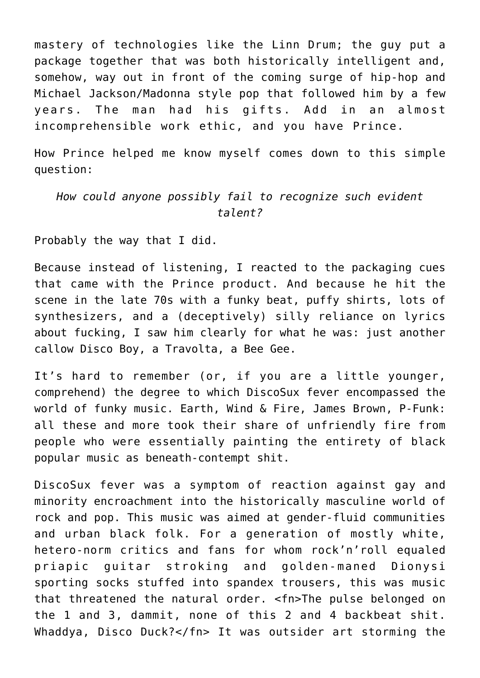mastery of technologies like the Linn Drum; the guy put a package together that was both historically intelligent and, somehow, way out in front of the coming surge of hip-hop and Michael Jackson/Madonna style pop that followed him by a few years. The man had his gifts. Add in an almost incomprehensible work ethic, and you have Prince.

How Prince helped me know myself comes down to this simple question:

*How could anyone possibly fail to recognize such evident talent?*

Probably the way that I did.

Because instead of listening, I reacted to the packaging cues that came with the Prince product. And because he hit the scene in the late 70s with a funky beat, puffy shirts, lots of synthesizers, and a (deceptively) silly reliance on lyrics about fucking, I saw him clearly for what he was: just another callow Disco Boy, a Travolta, a Bee Gee.

It's hard to remember (or, if you are a little younger, comprehend) the degree to which DiscoSux fever encompassed the world of funky music. Earth, Wind & Fire, James Brown, P-Funk: all these and more took their share of unfriendly fire from people who were essentially painting the entirety of black popular music as beneath-contempt shit.

DiscoSux fever was a symptom of reaction against gay and minority encroachment into the historically masculine world of rock and pop. This music was aimed at gender-fluid communities and urban black folk. For a generation of mostly white, hetero-norm critics and fans for whom rock'n'roll equaled priapic guitar stroking and golden-maned Dionysi sporting socks stuffed into spandex trousers, this was music that threatened the natural order. <fn>The pulse belonged on the 1 and 3, dammit, none of this 2 and 4 backbeat shit. Whaddya, Disco Duck?</fn> It was outsider art storming the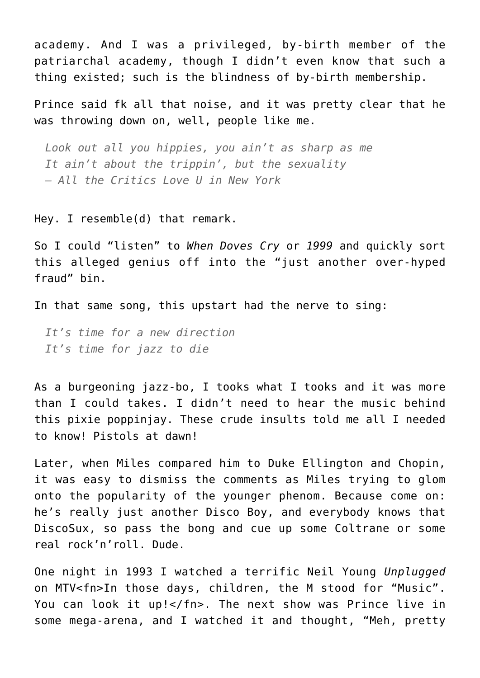academy. And I was a privileged, by-birth member of the patriarchal academy, though I didn't even know that such a thing existed; such is the blindness of by-birth membership.

Prince said fk all that noise, and it was pretty clear that he was throwing down on, well, people like me.

*Look out all you hippies, you ain't as sharp as me It ain't about the trippin', but the sexuality – All the Critics Love U in New York*

Hey. I resemble(d) that remark.

So I could "listen" to *When Doves Cry* or *1999* and quickly sort this alleged genius off into the "just another over-hyped fraud" bin.

In that same song, this upstart had the nerve to sing:

*It's time for a new direction It's time for jazz to die*

As a burgeoning jazz-bo, I tooks what I tooks and it was more than I could takes. I didn't need to hear the music behind this pixie poppinjay. These crude insults told me all I needed to know! Pistols at dawn!

Later, when Miles compared him to Duke Ellington and Chopin, it was easy to dismiss the comments as Miles trying to glom onto the popularity of the younger phenom. Because come on: he's really just another Disco Boy, and everybody knows that DiscoSux, so pass the bong and cue up some Coltrane or some real rock'n'roll. Dude.

One night in 1993 I watched a terrific Neil Young *Unplugged* on MTV<fn>In those days, children, the M stood for "Music". You can look it up!</fn>. The next show was Prince live in some mega-arena, and I watched it and thought, "Meh, pretty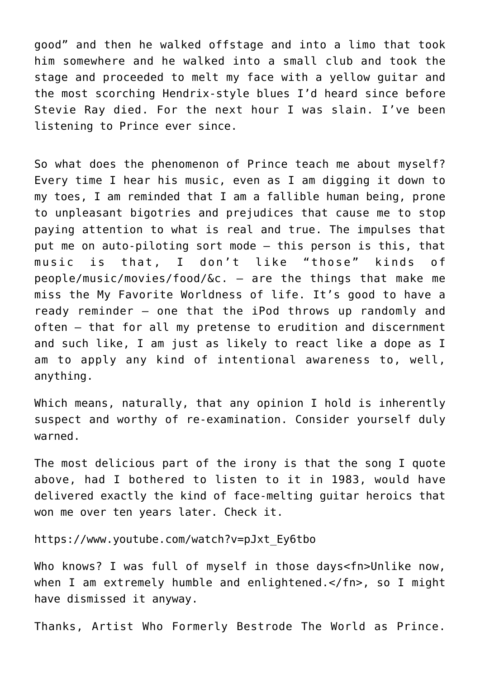good" and then he walked offstage and into a limo that took him somewhere and he walked into a small club and took the stage and proceeded to melt my face with a yellow guitar and the most scorching Hendrix-style blues I'd heard since before Stevie Ray died. For the next hour I was slain. I've been listening to Prince ever since.

So what does the phenomenon of Prince teach me about myself? Every time I hear his music, even as I am digging it down to my toes, I am reminded that I am a fallible human being, prone to unpleasant bigotries and prejudices that cause me to stop paying attention to what is real and true. The impulses that put me on auto-piloting sort mode – this person is this, that music is that, I don't like "those" kinds of people/music/movies/food/&c. – are the things that make me miss the My Favorite Worldness of life. It's good to have a ready reminder – one that the iPod throws up randomly and often – that for all my pretense to erudition and discernment and such like, I am just as likely to react like a dope as I am to apply any kind of intentional awareness to, well, anything.

Which means, naturally, that any opinion I hold is inherently suspect and worthy of re-examination. Consider yourself duly warned.

The most delicious part of the irony is that the song I quote above, had I bothered to listen to it in 1983, would have delivered exactly the kind of face-melting guitar heroics that won me over ten years later. Check it.

https://www.youtube.com/watch?v=pJxt\_Ey6tbo

Who knows? I was full of myself in those days<fn>Unlike now, when I am extremely humble and enlightened.</fn>, so I might have dismissed it anyway.

Thanks, Artist Who Formerly Bestrode The World as Prince.